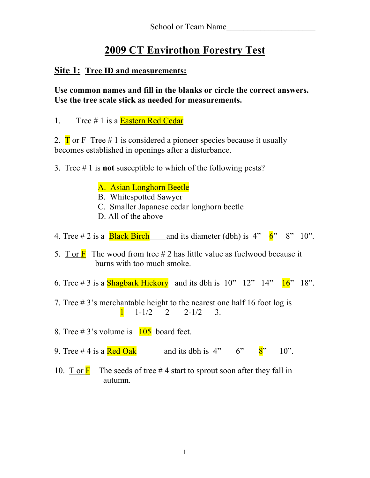# **2009 CT Envirothon Forestry Test**

### **Site 1: Tree ID and measurements:**

**Use common names and fill in the blanks or circle the correct answers. Use the tree scale stick as needed for measurements.**

1. Tree  $\#$  1 is a **Eastern Red Cedar** 

2.  $\Gamma$  or F Tree # 1 is considered a pioneer species because it usually becomes established in openings after a disturbance.

- 3. Tree # 1 is **not** susceptible to which of the following pests?
	- A. Asian Longhorn Beetle
	- B. Whitespotted Sawyer
	- C. Smaller Japanese cedar longhorn beetle
	- D. All of the above
- 4. Tree # 2 is a **Black Birch** and its diameter (dbh) is  $4'' \times 6'' \times 8'' \times 10''$ .
- 5. T or  $\overline{F}$  The wood from tree # 2 has little value as fuelwood because it burns with too much smoke.
- 6. Tree # 3 is a **Shagbark Hickory** and its dbh is  $10''$   $12''$   $14''$   $16''$   $18''$ .
- 7. Tree # 3's merchantable height to the nearest one half 16 foot log is  $1 \t1-1/2 \t2 \t2-1/2 \t3$ .
- 8. Tree # 3's volume is  $\frac{105}{105}$  board feet.
- 9. Tree # 4 is a  $\text{Red Oak}$  and its dbh is 4" 6"  $8$ " 10".
- 10. T or  $\overline{F}$  The seeds of tree #4 start to sprout soon after they fall in autumn.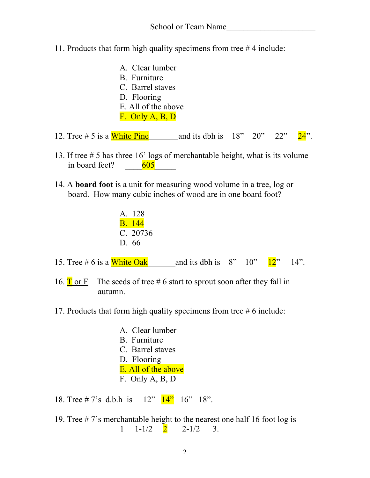11. Products that form high quality specimens from tree # 4 include:

| A. Clear lumber<br>B. Furniture<br>C. Barrel staves<br>D. Flooring<br>E. All of the above<br>$F.$ Only A, B, D |                                  |  |  |
|----------------------------------------------------------------------------------------------------------------|----------------------------------|--|--|
| 12. Tree $# 5$ is a White Pine                                                                                 | and its dbh is $18"$ $20"$ $22"$ |  |  |

- 13. If tree # 5 has three 16' logs of merchantable height, what is its volume in board feet?  $\frac{605}{2}$
- 14. A **board foot** is a unit for measuring wood volume in a tree, log or board. How many cubic inches of wood are in one board foot?

| A. 128        |
|---------------|
| <b>B.</b> 144 |
| C. 20736      |
| D. 66         |

- 15. Tree # 6 is a White Oak and its dbh is  $8''$  10"  $12''$  14".
- 16.  $\overline{T}$  or F The seeds of tree # 6 start to sprout soon after they fall in autumn.
- 17. Products that form high quality specimens from tree # 6 include:
	- A. Clear lumber B. Furniture C. Barrel staves D. Flooring E. All of the above F. Only A, B, D

18. Tree # 7's d.b.h is 12" 14" 16" 18".

19. Tree # 7's merchantable height to the nearest one half 16 foot log is  $1 \quad 1-1/2 \quad 2 \quad 2-1/2 \quad 3.$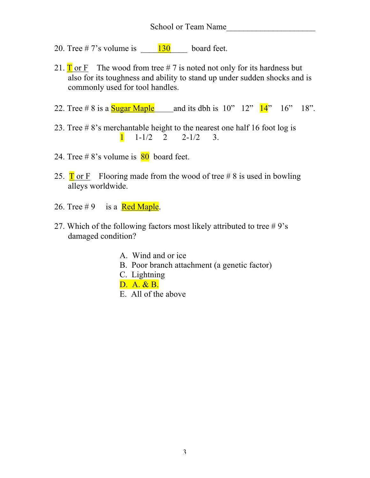#### School or Team Name

- 20. Tree # 7's volume is  $\frac{130}{20}$  board feet.
- 21.  $\Gamma$  or F The wood from tree # 7 is noted not only for its hardness but also for its toughness and ability to stand up under sudden shocks and is commonly used for tool handles.
- 22. Tree # 8 is a  $Sugar Maple$  and its dbh is  $10" 12" 14" 16" 18".$
- 23. Tree # 8's merchantable height to the nearest one half 16 foot log is  $1 \t1-1/2 \t2 \t2-1/2 \t3$ .
- 24. Tree # $8$ 's volume is  $80$  board feet.
- 25.  $\Gamma$  or F **Flooring made from the wood of tree #8** is used in bowling alleys worldwide.
- 26. Tree  $\# 9$  is a Red Maple.
- 27. Which of the following factors most likely attributed to tree  $#9's$ damaged condition?
	- A. Wind and or ice
	- B. Poor branch attachment (a genetic factor)
	- C. Lightning
	- D. A. & B.
	- E. All of the above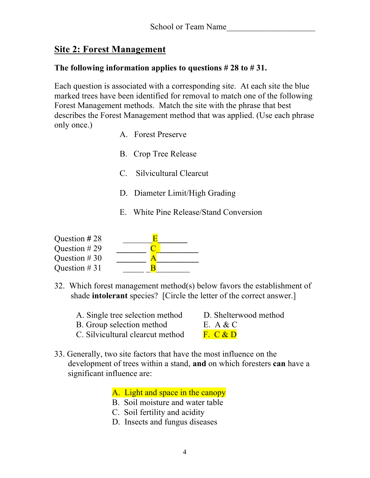## **Site 2: Forest Management**

#### **The following information applies to questions # 28 to # 31.**

Each question is associated with a corresponding site. At each site the blue marked trees have been identified for removal to match one of the following Forest Management methods. Match the site with the phrase that best describes the Forest Management method that was applied. (Use each phrase only once.)

- A. Forest Preserve
- B. Crop Tree Release
- C. Silvicultural Clearcut
- D. Diameter Limit/High Grading
- E. White Pine Release/Stand Conversion

| Question #28   |  |
|----------------|--|
| Question $#29$ |  |
| Question $#30$ |  |
| Question $#31$ |  |

- 32. Which forest management method(s) below favors the establishment of shade **intolerant** species? [Circle the letter of the correct answer.]
	- A. Single tree selection method D. Shelterwood method
	- B. Group selection method E. A & C

- 
- C. Silvicultural clearcut method  $\overline{F}$ . C & D
- 33. Generally, two site factors that have the most influence on the development of trees within a stand, **and** on which foresters **can** have a significant influence are:

A. Light and space in the canopy

- B. Soil moisture and water table
- C. Soil fertility and acidity
- D. Insects and fungus diseases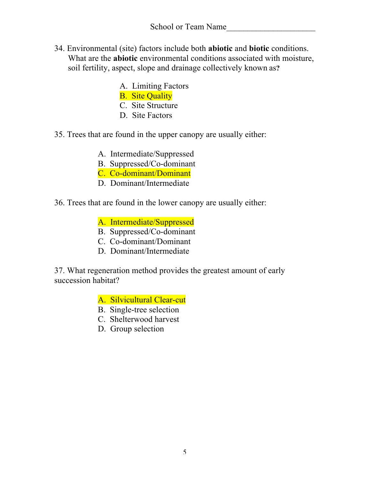- 34. Environmental (site) factors include both **abiotic** and **biotic** conditions. What are the **abiotic** environmental conditions associated with moisture, soil fertility, aspect, slope and drainage collectively known as**?**
	- A. Limiting Factors
	- B. Site Quality
	- C. Site Structure
	- D. Site Factors
- 35. Trees that are found in the upper canopy are usually either:
	- A. Intermediate/Suppressed
	- B. Suppressed/Co-dominant
	- C. Co-dominant/Dominant
	- D. Dominant/Intermediate
- 36. Trees that are found in the lower canopy are usually either:
	- A. Intermediate/Suppressed
	- B. Suppressed/Co-dominant
	- C. Co-dominant/Dominant
	- D. Dominant/Intermediate

37. What regeneration method provides the greatest amount of early succession habitat?

A. Silvicultural Clear-cut

- B. Single-tree selection
- C. Shelterwood harvest
- D. Group selection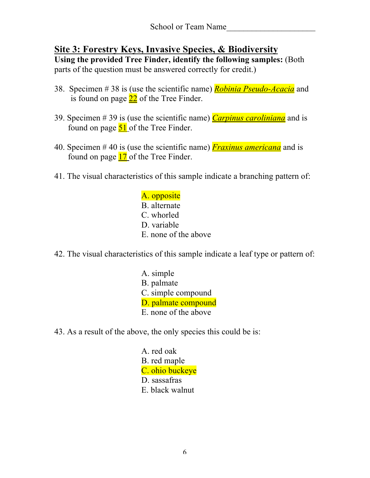# **Site 3: Forestry Keys, Invasive Species, & Biodiversity**

**Using the provided Tree Finder, identify the following samples:** (Both parts of the question must be answered correctly for credit.)

- 38. Specimen # 38 is (use the scientific name) *Robinia Pseudo-Acacia* and is found on page  $22$  of the Tree Finder.
- 39. Specimen # 39 is (use the scientific name) *Carpinus caroliniana* and is found on page  $51$  of the Tree Finder.
- 40. Specimen # 40 is (use the scientific name) *Fraxinus americana* and is found on page 17 of the Tree Finder.
- 41. The visual characteristics of this sample indicate a branching pattern of:

A. opposite B. alternate C. whorled D. variable E. none of the above

- 42. The visual characteristics of this sample indicate a leaf type or pattern of:
	- A. simple B. palmate C. simple compound D. palmate compound E. none of the above
- 43. As a result of the above, the only species this could be is:

A. red oak B. red maple C. ohio buckeye D. sassafras E. black walnut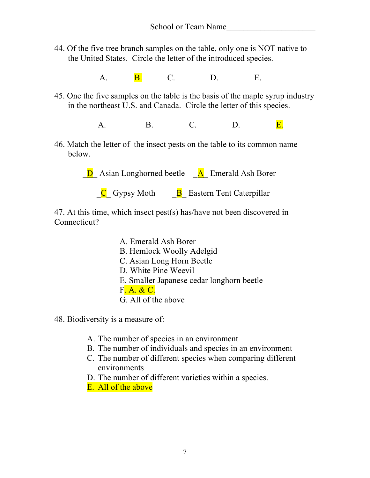44. Of the five tree branch samples on the table, only one is NOT native to the United States. Circle the letter of the introduced species.

 **A. B. C. D. E.** 

45. One the five samples on the table is the basis of the maple syrup industry in the northeast U.S. and Canada. Circle the letter of this species.

A.B.C.D.E.

46. Match the letter of the insect pests on the table to its common name below.

 $\overline{D}$  Asian Longhorned beetle  $\overline{A}$  Emerald Ash Borer

 $\overline{C}$  Gypsy Moth  $\overline{B}$  Eastern Tent Caterpillar

47. At this time, which insect pest(s) has/have not been discovered in Connecticut?

> A. Emerald Ash Borer B. Hemlock Woolly Adelgid C. Asian Long Horn Beetle D. White Pine Weevil E. Smaller Japanese cedar longhorn beetle F. A. & C. G. All of the above

48. Biodiversity is a measure of:

- A. The number of species in an environment
- B. The number of individuals and species in an environment
- C. The number of different species when comparing different environments
- D. The number of different varieties within a species.
- E. All of the above